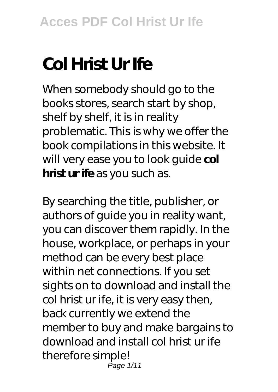# **Col Hrist Ur Ife**

When somebody should go to the books stores, search start by shop, shelf by shelf, it is in reality problematic. This is why we offer the book compilations in this website. It will very ease you to look quide col **hrist ur ife** as you such as.

By searching the title, publisher, or authors of guide you in reality want, you can discover them rapidly. In the house, workplace, or perhaps in your method can be every best place within net connections. If you set sights on to download and install the col hrist ur ife, it is very easy then, back currently we extend the member to buy and make bargains to download and install col hrist ur ife therefore simple! Page 1/11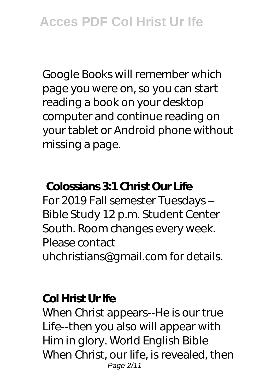Google Books will remember which page you were on, so you can start reading a book on your desktop computer and continue reading on your tablet or Android phone without missing a page.

### **Colossians 3:1 Christ Our Life**

For 2019 Fall semester Tuesdays – Bible Study 12 p.m. Student Center South. Room changes every week. Please contact uhchristians@gmail.com for details.

## **Col Hrist Ur Ife**

When Christ appears--He is our true Life--then you also will appear with Him in glory. World English Bible When Christ, our life, is revealed, then Page 2/11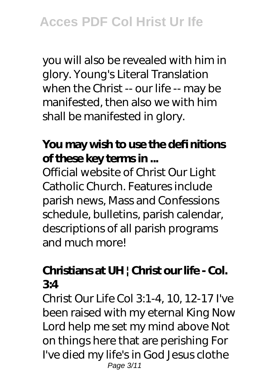you will also be revealed with him in glory. Young's Literal Translation when the Christ -- our life -- may be manifested, then also we with him shall be manifested in glory.

### **You may wish to use the defi nitions of these key terms in ...**

Official website of Christ Our Light Catholic Church. Features include parish news, Mass and Confessions schedule, bulletins, parish calendar, descriptions of all parish programs and much more!

## **Christians at UH | Christ our life - Col. 3:4**

Christ Our Life Col 3:1-4, 10, 12-17 I've been raised with my eternal King Now Lord help me set my mind above Not on things here that are perishing For I've died my life's in God Jesus clothe Page 3/11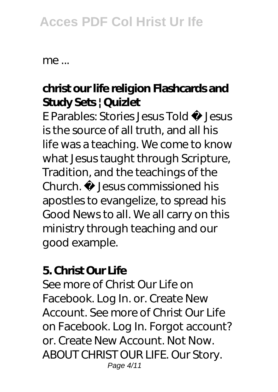## **Acces PDF Col Hrist Ur Ife**

me ...

## **christ our life religion Flashcards and Study Sets | Quizlet**

E Parables: Stories Jesus Told ˜ Jesus is the source of all truth, and all his life was a teaching. We come to know what Jesus taught through Scripture, Tradition, and the teachings of the Church. ˜ Jesus commissioned his apostles to evangelize, to spread his Good News to all. We all carry on this ministry through teaching and our good example.

#### **5. Christ Our Life**

See more of Christ Our Life on Facebook. Log In. or. Create New Account. See more of Christ Our Life on Facebook. Log In. Forgot account? or. Create New Account. Not Now. ABOUT CHRIST OUR LIFE. Our Story. Page 4/11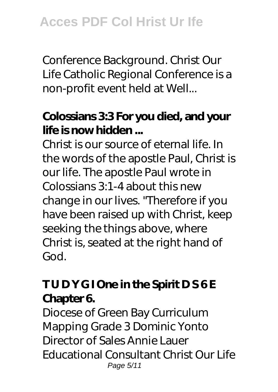Conference Background. Christ Our Life Catholic Regional Conference is a non-profit event held at Well...

## **Colossians 3:3 For you died, and your life is now hidden ...**

Christ is our source of eternal life. In the words of the apostle Paul, Christ is our life. The apostle Paul wrote in Colossians 3:1-4 about this new change in our lives. "Therefore if you have been raised up with Christ, keep seeking the things above, where Christ is, seated at the right hand of God.

## **T U D Y G I One in the Spirit D S 6 E Chapter 6.**

Diocese of Green Bay Curriculum Mapping Grade 3 Dominic Yonto Director of Sales Annie Lauer Educational Consultant Christ Our Life Page 5/11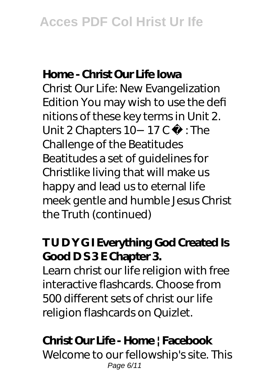### **Home - Christ Our Life Iowa**

Christ Our Life: New Evangelization Edition You may wish to use the defi nitions of these key terms in Unit 2. Unit 2 Chapters 10−17 C ˘ : The Challenge of the Beatitudes Beatitudes a set of guidelines for Christlike living that will make us happy and lead us to eternal life meek gentle and humble Jesus Christ the Truth (continued)

## **T U D Y G I Everything God Created Is** Good D S 3 E Chapter 3.

Learn christ our life religion with free interactive flashcards. Choose from 500 different sets of christ our life religion flashcards on Quizlet.

## **Christ Our Life - Home | Facebook**

Welcome to our fellowship's site. This Page 6/11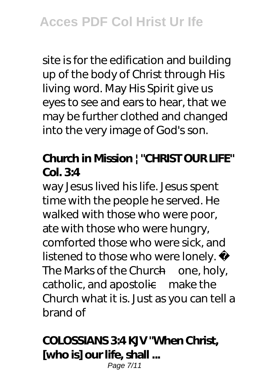site is for the edification and building up of the body of Christ through His living word. May His Spirit give us eyes to see and ears to hear, that we may be further clothed and changed into the very image of God's son.

## **Church in Mission | "CHRIST OUR LIFE" Col. 3:4**

way Jesus lived his life. Jesus spent time with the people he served. He walked with those who were poor, ate with those who were hungry, comforted those who were sick, and listened to those who were lonely.  $\tilde{a}$ The Marks of the Church—one, holy, catholic, and apostolic—make the Church what it is. Just as you can tell a brand of

## **COLOSSIANS 3:4 KJV "When Christ, [who is] our life, shall ...**

Page 7/11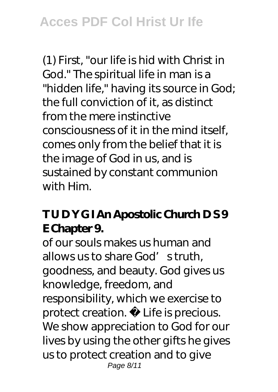(1) First, "our life is hid with Christ in God." The spiritual life in man is a "hidden life," having its source in God; the full conviction of it, as distinct from the mere instinctive consciousness of it in the mind itself, comes only from the belief that it is the image of God in us, and is sustained by constant communion with Him.

## **T U D Y G I An Apostolic Church D S 9 E Chapter 9.**

of our souls makes us human and allows us to share God's truth, goodness, and beauty. God gives us knowledge, freedom, and responsibility, which we exercise to protect creation. ˜ Life is precious. We show appreciation to God for our lives by using the other gifts he gives us to protect creation and to give Page 8/11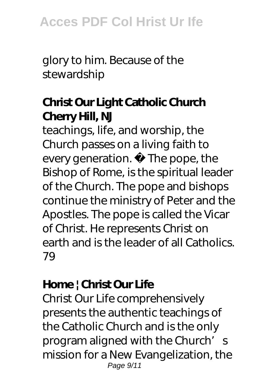glory to him. Because of the stewardship

## **Christ Our Light Catholic Church Cherry Hill, NJ**

teachings, life, and worship, the Church passes on a living faith to every generation.  $\tilde{ }$  The pope, the Bishop of Rome, is the spiritual leader of the Church. The pope and bishops continue the ministry of Peter and the Apostles. The pope is called the Vicar of Christ. He represents Christ on earth and is the leader of all Catholics. 79

## **Home | Christ Our Life**

Christ Our Life comprehensively presents the authentic teachings of the Catholic Church and is the only program aligned with the Church's mission for a New Evangelization, the Page 9/11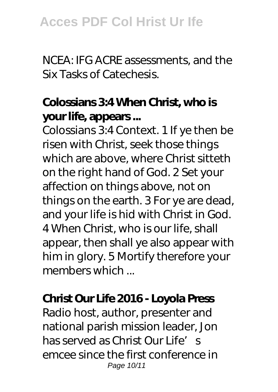NCEA: IFG ACRE assessments, and the Six Tasks of Catechesis.

## **Colossians 3:4 When Christ, who is your life, appears ...**

Colossians 3:4 Context. 1 If ye then be risen with Christ, seek those things which are above, where Christ sitteth on the right hand of God. 2 Set your affection on things above, not on things on the earth. 3 For ye are dead, and your life is hid with Christ in God. 4 When Christ, who is our life, shall appear, then shall ye also appear with him in glory. 5 Mortify therefore your members which

#### **Christ Our Life 2016 - Loyola Press**

Radio host, author, presenter and national parish mission leader, Jon has served as Christ Our Life's emcee since the first conference in Page 10/11